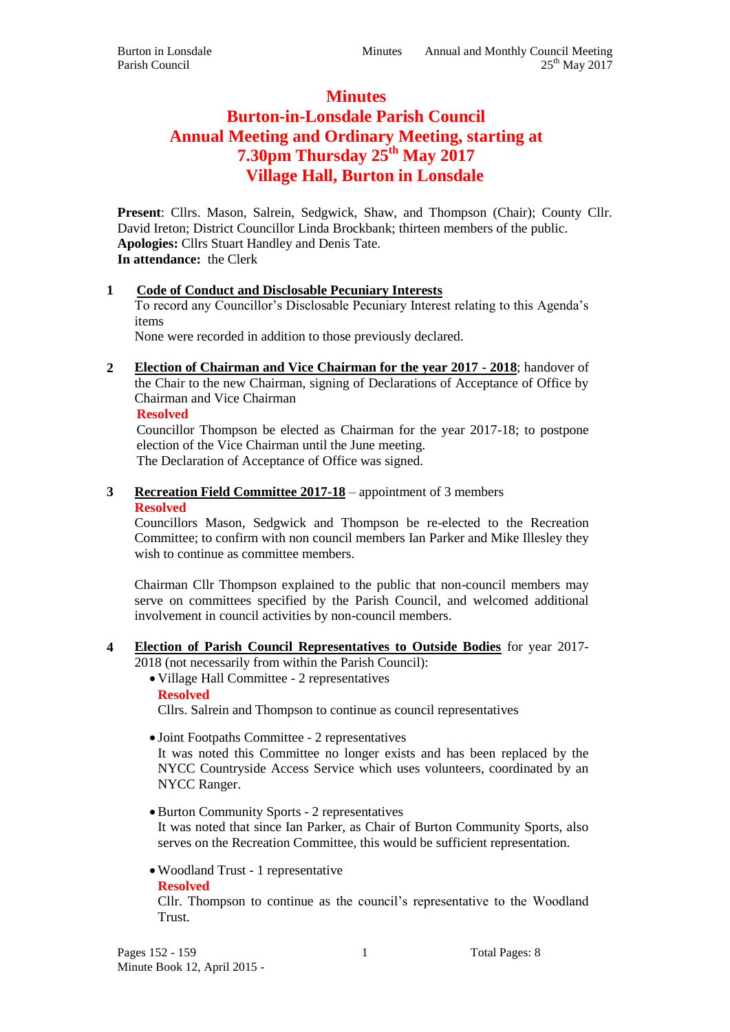## **Minutes**

# **Burton-in-Lonsdale Parish Council Annual Meeting and Ordinary Meeting, starting at 7.30pm Thursday 25 th May 2017 Village Hall, Burton in Lonsdale**

**Present**: Cllrs. Mason, Salrein, Sedgwick, Shaw, and Thompson (Chair); County Cllr. David Ireton; District Councillor Linda Brockbank; thirteen members of the public. **Apologies:** Cllrs Stuart Handley and Denis Tate. **In attendance:** the Clerk

#### **1 Code of Conduct and Disclosable Pecuniary Interests**

To record any Councillor's Disclosable Pecuniary Interest relating to this Agenda's items

None were recorded in addition to those previously declared.

**2 Election of Chairman and Vice Chairman for the year 2017 - 2018**; handover of the Chair to the new Chairman, signing of Declarations of Acceptance of Office by Chairman and Vice Chairman

**Resolved**

Councillor Thompson be elected as Chairman for the year 2017-18; to postpone election of the Vice Chairman until the June meeting. The Declaration of Acceptance of Office was signed.

**3 Recreation Field Committee 2017-18** – appointment of 3 members **Resolved**

Councillors Mason, Sedgwick and Thompson be re-elected to the Recreation Committee; to confirm with non council members Ian Parker and Mike Illesley they wish to continue as committee members.

Chairman Cllr Thompson explained to the public that non-council members may serve on committees specified by the Parish Council, and welcomed additional involvement in council activities by non-council members.

- **4 Election of Parish Council Representatives to Outside Bodies** for year 2017-
	- 2018 (not necessarily from within the Parish Council):
		- Village Hall Committee 2 representatives
		- **Resolved**

Cllrs. Salrein and Thompson to continue as council representatives

Joint Footpaths Committee - 2 representatives

It was noted this Committee no longer exists and has been replaced by the NYCC Countryside Access Service which uses volunteers, coordinated by an NYCC Ranger.

- Burton Community Sports 2 representatives It was noted that since Ian Parker, as Chair of Burton Community Sports, also serves on the Recreation Committee, this would be sufficient representation.
- Woodland Trust 1 representative

**Resolved**

Cllr. Thompson to continue as the council's representative to the Woodland Trust.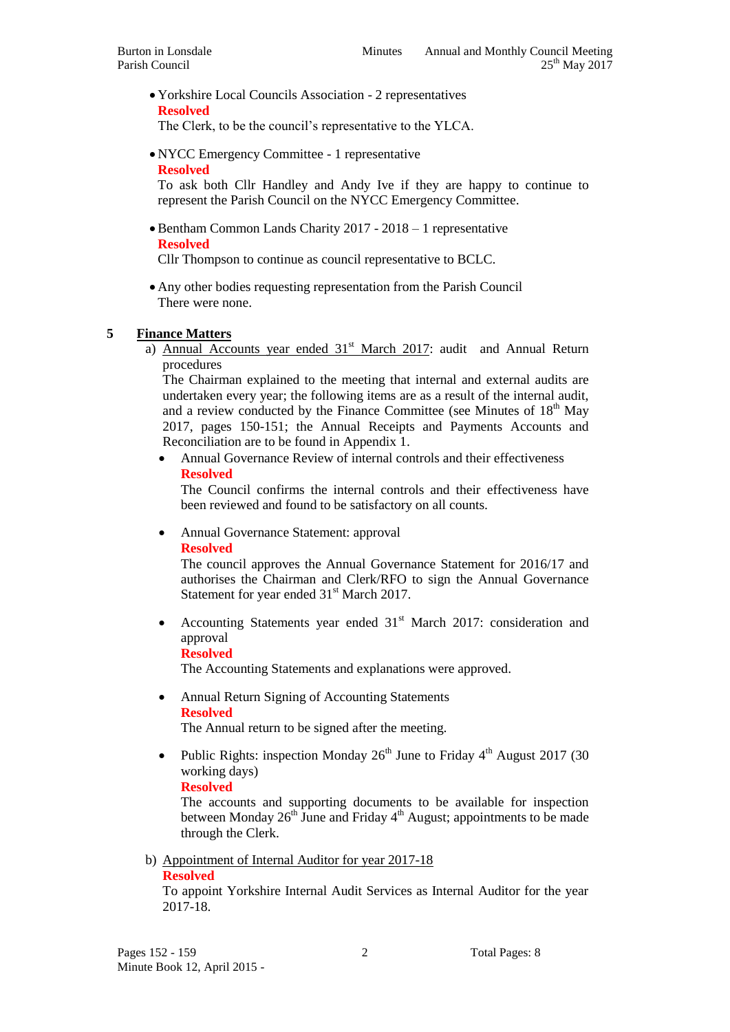Yorkshire Local Councils Association - 2 representatives **Resolved**

The Clerk, to be the council's representative to the YLCA.

 NYCC Emergency Committee - 1 representative **Resolved**

To ask both Cllr Handley and Andy Ive if they are happy to continue to represent the Parish Council on the NYCC Emergency Committee.

 Bentham Common Lands Charity 2017 - 2018 – 1 representative **Resolved**

Cllr Thompson to continue as council representative to BCLC.

 Any other bodies requesting representation from the Parish Council There were none.

### **5 Finance Matters**

a) Annual Accounts year ended  $31<sup>st</sup>$  March 2017: audit and Annual Return procedures

The Chairman explained to the meeting that internal and external audits are undertaken every year; the following items are as a result of the internal audit, and a review conducted by the Finance Committee (see Minutes of 18<sup>th</sup> May 2017, pages 150-151; the Annual Receipts and Payments Accounts and Reconciliation are to be found in Appendix 1.

 Annual Governance Review of internal controls and their effectiveness **Resolved**

The Council confirms the internal controls and their effectiveness have been reviewed and found to be satisfactory on all counts.

• Annual Governance Statement: approval

#### **Resolved**

The council approves the Annual Governance Statement for 2016/17 and authorises the Chairman and Clerk/RFO to sign the Annual Governance Statement for year ended 31<sup>st</sup> March 2017.

Accounting Statements year ended 31<sup>st</sup> March 2017: consideration and approval

#### **Resolved**

The Accounting Statements and explanations were approved.

 Annual Return Signing of Accounting Statements **Resolved**

The Annual return to be signed after the meeting.

Public Rights: inspection Monday  $26<sup>th</sup>$  June to Friday  $4<sup>th</sup>$  August 2017 (30) working days)

#### **Resolved**

The accounts and supporting documents to be available for inspection between Monday  $26<sup>th</sup>$  June and Friday  $4<sup>th</sup>$  August; appointments to be made through the Clerk.

b) Appointment of Internal Auditor for year 2017-18 **Resolved**

To appoint Yorkshire Internal Audit Services as Internal Auditor for the year 2017-18.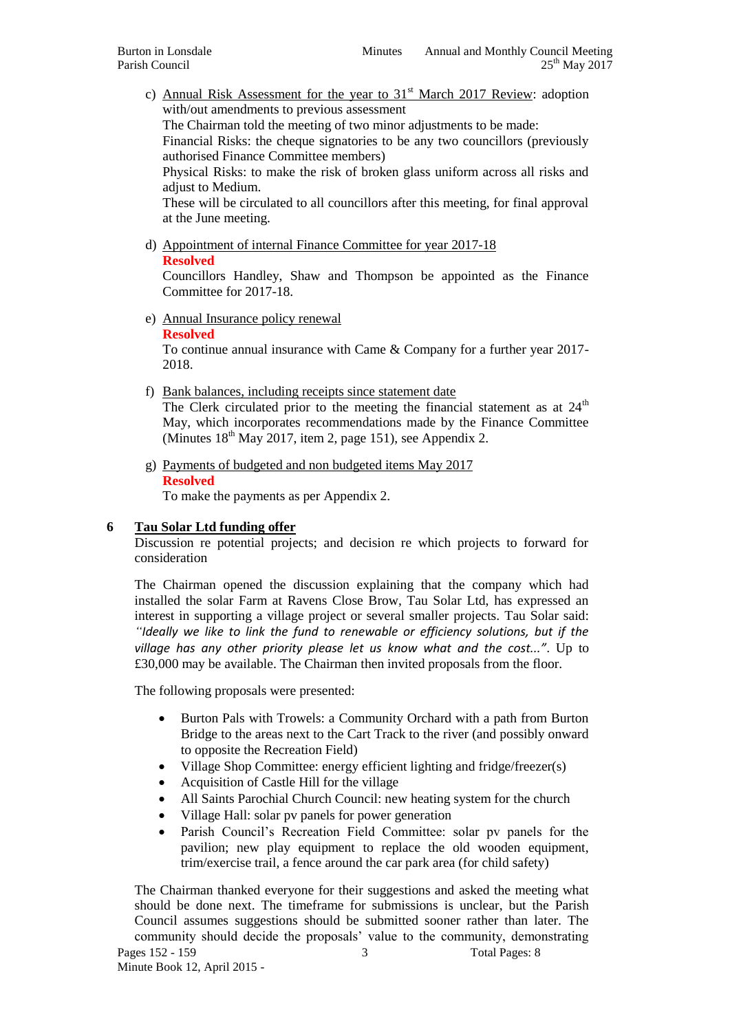c) Annual Risk Assessment for the year to  $31<sup>st</sup>$  March 2017 Review: adoption with/out amendments to previous assessment

The Chairman told the meeting of two minor adjustments to be made:

Financial Risks: the cheque signatories to be any two councillors (previously authorised Finance Committee members)

Physical Risks: to make the risk of broken glass uniform across all risks and adjust to Medium.

These will be circulated to all councillors after this meeting, for final approval at the June meeting.

d) Appointment of internal Finance Committee for year 2017-18 **Resolved**

Councillors Handley, Shaw and Thompson be appointed as the Finance Committee for 2017-18.

e) Annual Insurance policy renewal

#### **Resolved**

To continue annual insurance with Came & Company for a further year 2017- 2018.

f) Bank balances, including receipts since statement date

The Clerk circulated prior to the meeting the financial statement as at  $24<sup>th</sup>$ May, which incorporates recommendations made by the Finance Committee (Minutes  $18<sup>th</sup>$  May 2017, item 2, page 151), see Appendix 2.

g) Payments of budgeted and non budgeted items May 2017 **Resolved**

To make the payments as per Appendix 2.

#### **6 Tau Solar Ltd funding offer**

Discussion re potential projects; and decision re which projects to forward for consideration

The Chairman opened the discussion explaining that the company which had installed the solar Farm at Ravens Close Brow, Tau Solar Ltd, has expressed an interest in supporting a village project or several smaller projects. Tau Solar said: *"Ideally we like to link the fund to renewable or efficiency solutions, but if the village has any other priority please let us know what and the cost..."*. Up to £30,000 may be available. The Chairman then invited proposals from the floor.

The following proposals were presented:

- Burton Pals with Trowels: a Community Orchard with a path from Burton Bridge to the areas next to the Cart Track to the river (and possibly onward to opposite the Recreation Field)
- Village Shop Committee: energy efficient lighting and fridge/freezer(s)
- Acquisition of Castle Hill for the village
- All Saints Parochial Church Council: new heating system for the church
- Village Hall: solar pv panels for power generation
- Parish Council's Recreation Field Committee: solar pv panels for the pavilion; new play equipment to replace the old wooden equipment, trim/exercise trail, a fence around the car park area (for child safety)

Pages 152 - 159 3 Total Pages: 8 Minute Book 12, April 2015 - The Chairman thanked everyone for their suggestions and asked the meeting what should be done next. The timeframe for submissions is unclear, but the Parish Council assumes suggestions should be submitted sooner rather than later. The community should decide the proposals' value to the community, demonstrating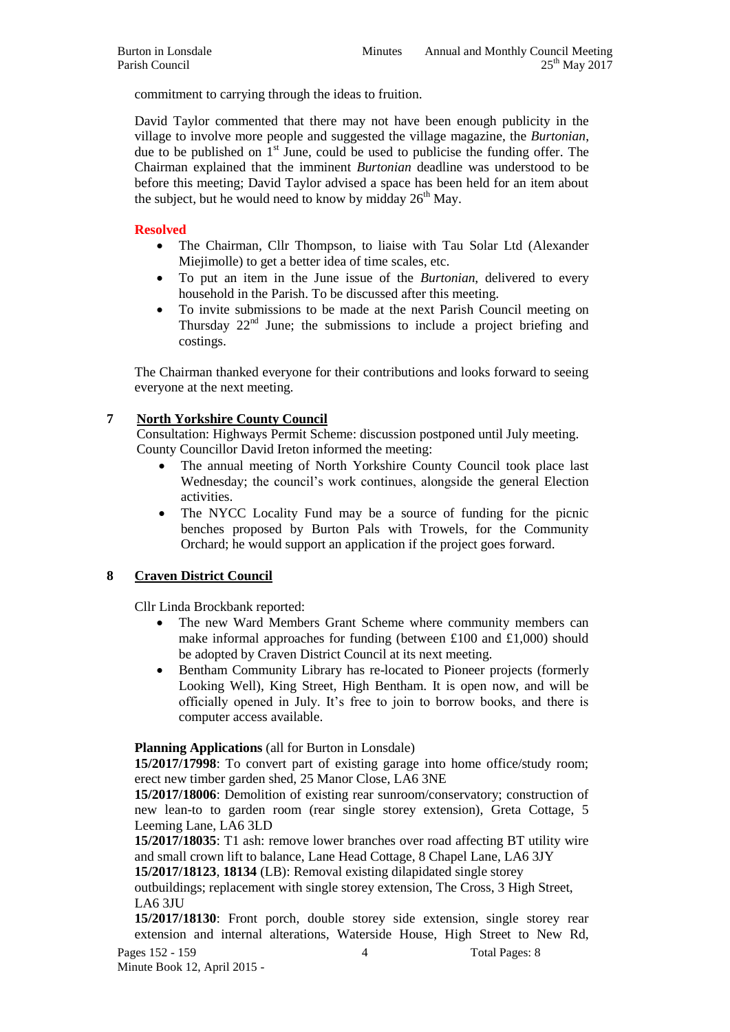commitment to carrying through the ideas to fruition.

David Taylor commented that there may not have been enough publicity in the village to involve more people and suggested the village magazine, the *Burtonian*, due to be published on  $1<sup>st</sup>$  June, could be used to publicise the funding offer. The Chairman explained that the imminent *Burtonian* deadline was understood to be before this meeting; David Taylor advised a space has been held for an item about the subject, but he would need to know by midday  $26<sup>th</sup>$  May.

#### **Resolved**

- The Chairman, Cllr Thompson, to liaise with Tau Solar Ltd (Alexander Miejimolle) to get a better idea of time scales, etc.
- To put an item in the June issue of the *Burtonian*, delivered to every household in the Parish. To be discussed after this meeting.
- To invite submissions to be made at the next Parish Council meeting on Thursday  $22<sup>nd</sup>$  June; the submissions to include a project briefing and costings.

The Chairman thanked everyone for their contributions and looks forward to seeing everyone at the next meeting.

#### **7 North Yorkshire County Council**

Consultation: Highways Permit Scheme: discussion postponed until July meeting. County Councillor David Ireton informed the meeting:

- The annual meeting of North Yorkshire County Council took place last Wednesday; the council's work continues, alongside the general Election activities.
- The NYCC Locality Fund may be a source of funding for the picnic benches proposed by Burton Pals with Trowels, for the Community Orchard; he would support an application if the project goes forward.

#### **8 Craven District Council**

Cllr Linda Brockbank reported:

- The new Ward Members Grant Scheme where community members can make informal approaches for funding (between £100 and £1,000) should be adopted by Craven District Council at its next meeting.
- Bentham Community Library has re-located to Pioneer projects (formerly Looking Well), King Street, High Bentham. It is open now, and will be officially opened in July. It's free to join to borrow books, and there is computer access available.

**Planning Applications** (all for Burton in Lonsdale)

**15/2017/17998**: To convert part of existing garage into home office/study room; erect new timber garden shed, 25 Manor Close, LA6 3NE

**15/2017/18006**: Demolition of existing rear sunroom/conservatory; construction of new lean-to to garden room (rear single storey extension), Greta Cottage, 5 Leeming Lane, LA6 3LD

**15/2017/18035**: T1 ash: remove lower branches over road affecting BT utility wire and small crown lift to balance, Lane Head Cottage, 8 Chapel Lane, LA6 3JY

**15/2017/18123**, **18134** (LB): Removal existing dilapidated single storey

outbuildings; replacement with single storey extension, The Cross, 3 High Street, LA6 3JU

**15/2017/18130**: Front porch, double storey side extension, single storey rear extension and internal alterations, Waterside House, High Street to New Rd,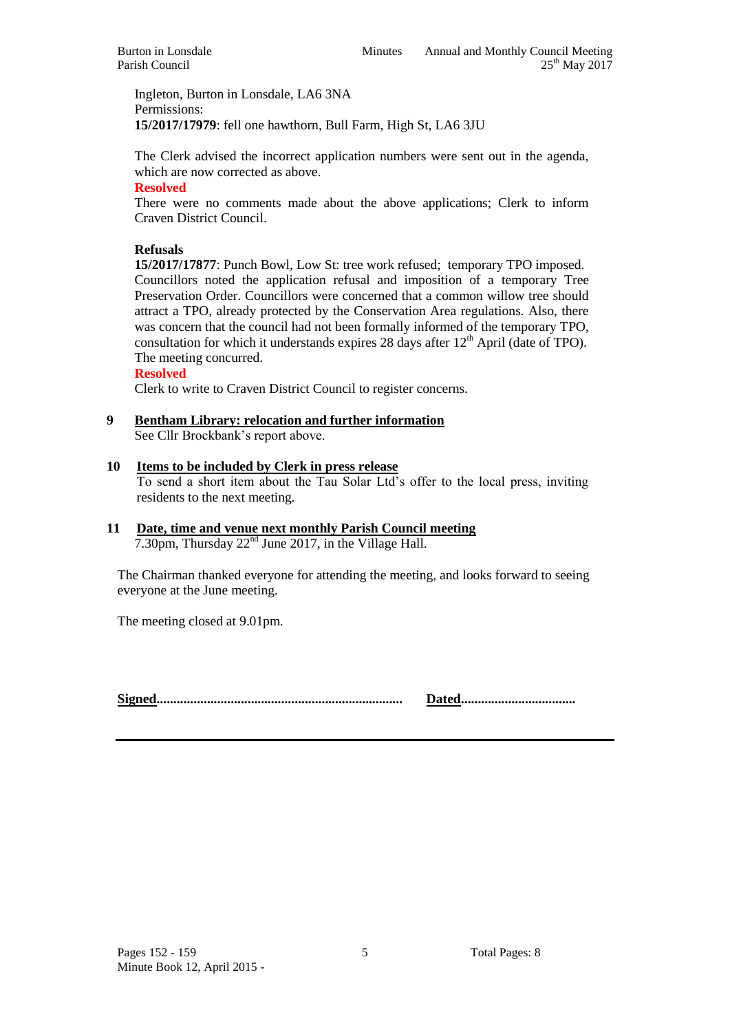Ingleton, Burton in Lonsdale, LA6 3NA Permissions: **15/2017/17979**: fell one hawthorn, Bull Farm, High St, LA6 3JU

The Clerk advised the incorrect application numbers were sent out in the agenda, which are now corrected as above.

#### **Resolved**

There were no comments made about the above applications; Clerk to inform Craven District Council.

#### **Refusals**

**15/2017/17877**: Punch Bowl, Low St: tree work refused; temporary TPO imposed. Councillors noted the application refusal and imposition of a temporary Tree Preservation Order. Councillors were concerned that a common willow tree should attract a TPO, already protected by the Conservation Area regulations. Also, there was concern that the council had not been formally informed of the temporary TPO, consultation for which it understands expires 28 days after  $12<sup>th</sup>$  April (date of TPO). The meeting concurred.

**Resolved**

Clerk to write to Craven District Council to register concerns.

# **9 Bentham Library: relocation and further information**

See Cllr Brockbank's report above.

#### **10 Items to be included by Clerk in press release**

To send a short item about the Tau Solar Ltd's offer to the local press, inviting residents to the next meeting.

#### **11 Date, time and venue next monthly Parish Council meeting** 7.30pm, Thursday 22<sup>nd</sup> June 2017, in the Village Hall.

The Chairman thanked everyone for attending the meeting, and looks forward to seeing everyone at the June meeting.

The meeting closed at 9.01pm.

**Signed......................................................................... Dated..................................**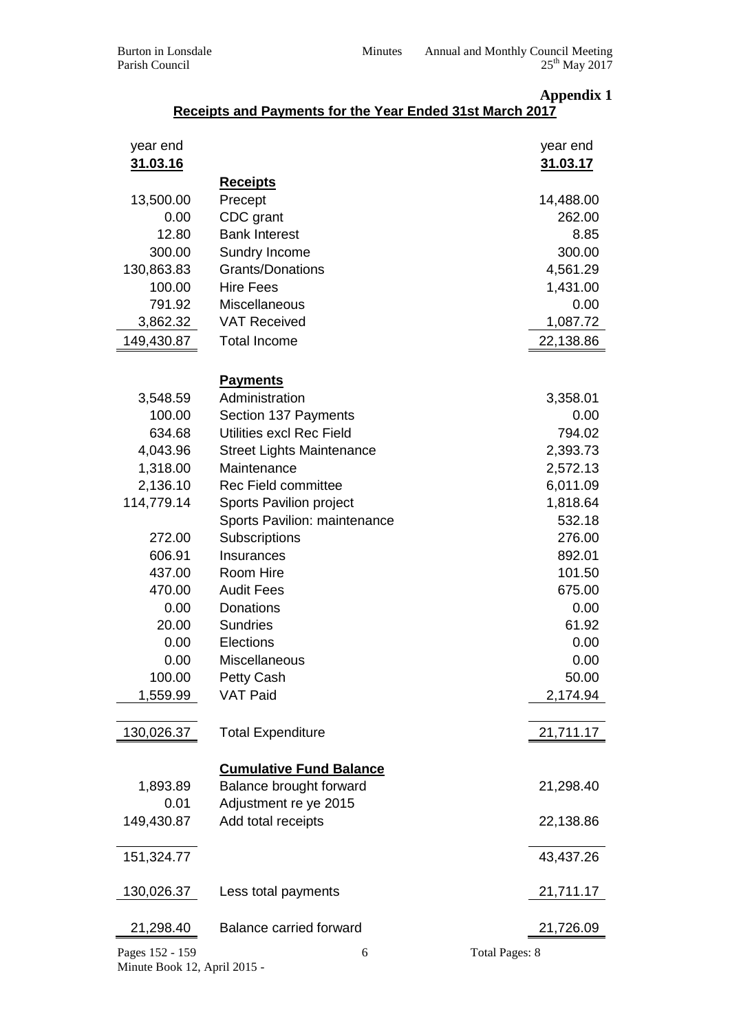|                 | Receipts and Payments for the Year Ended 31st March 2017 | <b>Appendix 1</b>     |
|-----------------|----------------------------------------------------------|-----------------------|
| year end        |                                                          | year end              |
| 31.03.16        |                                                          | 31.03.17              |
|                 | <b>Receipts</b>                                          |                       |
| 13,500.00       | Precept                                                  | 14,488.00             |
| 0.00            | CDC grant                                                | 262.00                |
| 12.80           | <b>Bank Interest</b>                                     | 8.85                  |
| 300.00          | Sundry Income                                            | 300.00                |
| 130,863.83      | <b>Grants/Donations</b>                                  | 4,561.29              |
| 100.00          | <b>Hire Fees</b>                                         | 1,431.00              |
| 791.92          | Miscellaneous                                            | 0.00                  |
| 3,862.32        | <b>VAT Received</b>                                      | 1,087.72              |
| 149,430.87      | <b>Total Income</b>                                      | 22,138.86             |
|                 |                                                          |                       |
|                 | <b>Payments</b>                                          |                       |
| 3,548.59        | Administration                                           | 3,358.01              |
| 100.00          | Section 137 Payments                                     | 0.00                  |
| 634.68          | Utilities excl Rec Field                                 | 794.02                |
| 4,043.96        | <b>Street Lights Maintenance</b>                         | 2,393.73              |
| 1,318.00        | Maintenance                                              | 2,572.13              |
| 2,136.10        | <b>Rec Field committee</b>                               | 6,011.09              |
| 114,779.14      | Sports Pavilion project                                  | 1,818.64              |
|                 | Sports Pavilion: maintenance                             | 532.18                |
| 272.00          | Subscriptions                                            | 276.00                |
| 606.91          | Insurances                                               | 892.01                |
| 437.00          | Room Hire                                                | 101.50                |
| 470.00          | <b>Audit Fees</b>                                        | 675.00                |
| 0.00            | Donations                                                | 0.00                  |
| 20.00           | <b>Sundries</b>                                          | 61.92                 |
| 0.00            | Elections                                                | 0.00                  |
| 0.00            | Miscellaneous                                            | 0.00                  |
| 100.00          | Petty Cash                                               | 50.00                 |
| 1,559.99        | <b>VAT Paid</b>                                          | 2,174.94              |
| 130,026.37      | <b>Total Expenditure</b>                                 | 21,711.17             |
|                 | <b>Cumulative Fund Balance</b>                           |                       |
| 1,893.89        | Balance brought forward                                  | 21,298.40             |
| 0.01            | Adjustment re ye 2015                                    |                       |
| 149,430.87      | Add total receipts                                       | 22,138.86             |
| 151,324.77      |                                                          | 43,437.26             |
| 130,026.37      | Less total payments                                      | 21,711.17             |
| 21,298.40       | <b>Balance carried forward</b>                           | 21,726.09             |
| Pages 152 - 159 | 6                                                        | <b>Total Pages: 8</b> |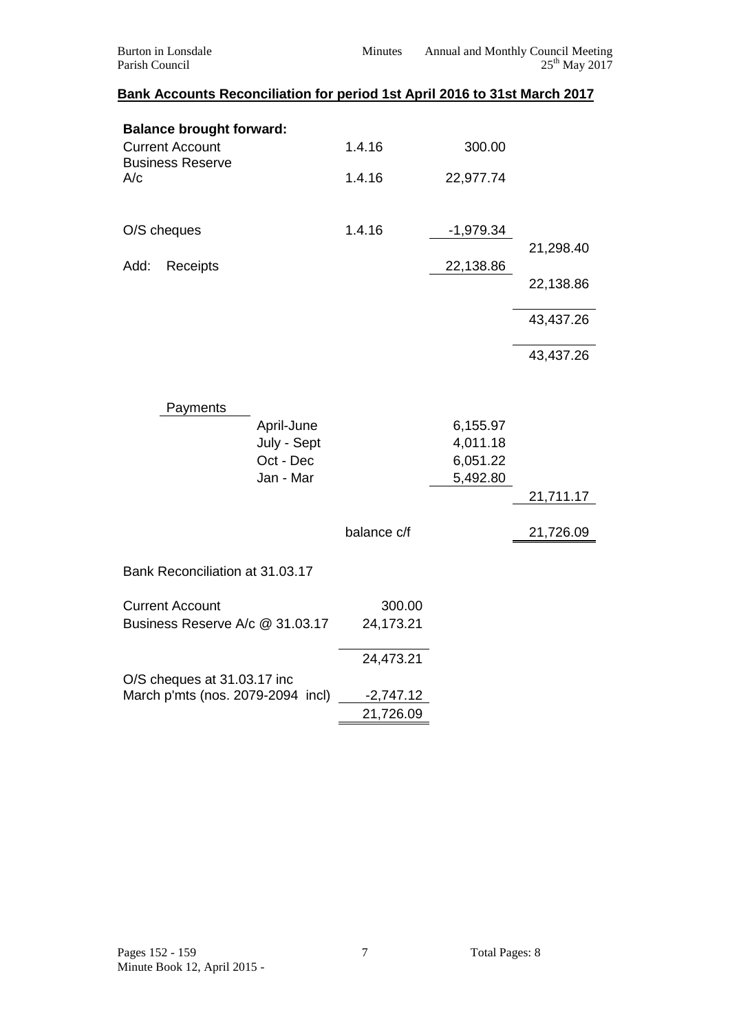| <b>Burton</b> in Lonsdale<br>Parish Council                               | Minutes     |                      | Annual and Monthly Council Meeting<br>25 <sup>th</sup> May 2017 |
|---------------------------------------------------------------------------|-------------|----------------------|-----------------------------------------------------------------|
| Bank Accounts Reconciliation for period 1st April 2016 to 31st March 2017 |             |                      |                                                                 |
| <b>Balance brought forward:</b>                                           |             |                      |                                                                 |
| <b>Current Account</b><br><b>Business Reserve</b>                         | 1.4.16      | 300.00               |                                                                 |
| A/c                                                                       | 1.4.16      | 22,977.74            |                                                                 |
| O/S cheques                                                               | 1.4.16      | $-1,979.34$          |                                                                 |
| Add:<br>Receipts                                                          |             | 22,138.86            | 21,298.40                                                       |
|                                                                           |             |                      | 22,138.86                                                       |
|                                                                           |             |                      | 43,437.26                                                       |
|                                                                           |             |                      | 43,437.26                                                       |
| Payments                                                                  |             |                      |                                                                 |
| April-June                                                                |             | 6,155.97             |                                                                 |
| July - Sept<br>Oct - Dec                                                  |             | 4,011.18<br>6,051.22 |                                                                 |
| Jan - Mar                                                                 |             | 5,492.80             |                                                                 |
|                                                                           |             |                      | 21,711.17                                                       |
|                                                                           | balance c/f |                      | 21,726.09                                                       |
| Bank Reconciliation at 31.03.17                                           |             |                      |                                                                 |
| <b>Current Account</b>                                                    | 300.00      |                      |                                                                 |
| Business Reserve A/c @ 31.03.17                                           | 24,173.21   |                      |                                                                 |
|                                                                           | 24,473.21   |                      |                                                                 |
| O/S cheques at 31.03.17 inc<br>March p'mts (nos. 2079-2094 incl)          | $-2,747.12$ |                      |                                                                 |
|                                                                           | 21,726.09   |                      |                                                                 |